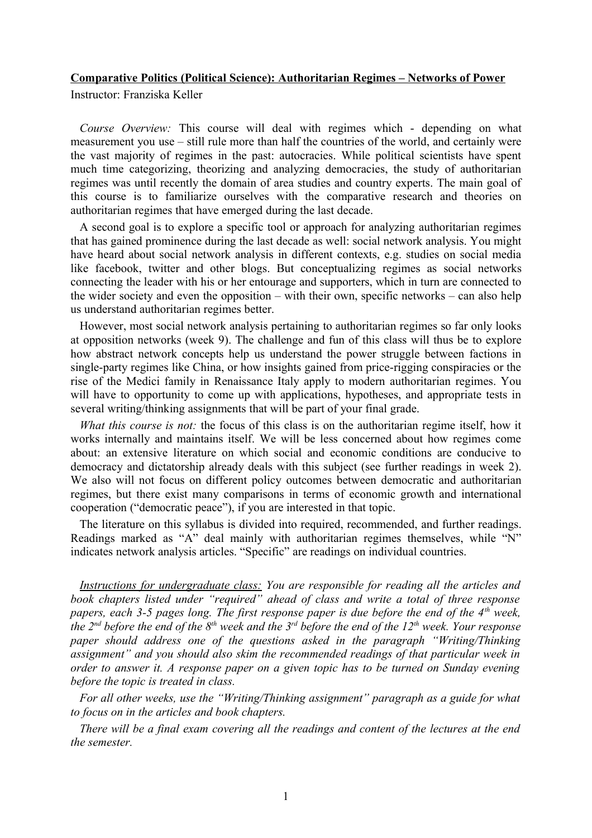#### **Comparative Politics (Political Science): Authoritarian Regimes – Networks of Power**

Instructor: Franziska Keller

*Course Overview:* This course will deal with regimes which - depending on what measurement you use – still rule more than half the countries of the world, and certainly were the vast majority of regimes in the past: autocracies. While political scientists have spent much time categorizing, theorizing and analyzing democracies, the study of authoritarian regimes was until recently the domain of area studies and country experts. The main goal of this course is to familiarize ourselves with the comparative research and theories on authoritarian regimes that have emerged during the last decade.

A second goal is to explore a specific tool or approach for analyzing authoritarian regimes that has gained prominence during the last decade as well: social network analysis. You might have heard about social network analysis in different contexts, e.g. studies on social media like facebook, twitter and other blogs. But conceptualizing regimes as social networks connecting the leader with his or her entourage and supporters, which in turn are connected to the wider society and even the opposition – with their own, specific networks – can also help us understand authoritarian regimes better.

However, most social network analysis pertaining to authoritarian regimes so far only looks at opposition networks (week 9). The challenge and fun of this class will thus be to explore how abstract network concepts help us understand the power struggle between factions in single-party regimes like China, or how insights gained from price-rigging conspiracies or the rise of the Medici family in Renaissance Italy apply to modern authoritarian regimes. You will have to opportunity to come up with applications, hypotheses, and appropriate tests in several writing/thinking assignments that will be part of your final grade.

*What this course is not:* the focus of this class is on the authoritarian regime itself, how it works internally and maintains itself. We will be less concerned about how regimes come about: an extensive literature on which social and economic conditions are conducive to democracy and dictatorship already deals with this subject (see further readings in week 2). We also will not focus on different policy outcomes between democratic and authoritarian regimes, but there exist many comparisons in terms of economic growth and international cooperation ("democratic peace"), if you are interested in that topic.

The literature on this syllabus is divided into required, recommended, and further readings. Readings marked as "A" deal mainly with authoritarian regimes themselves, while "N" indicates network analysis articles. "Specific" are readings on individual countries.

*Instructions for undergraduate class: You are responsible for reading all the articles and book chapters listed under "required" ahead of class and write a total of three response papers, each 3-5 pages long. The first response paper is due before the end of the 4th week, the 2nd before the end of the 8th week and the 3rd before the end of the 12th week. Your response paper should address one of the questions asked in the paragraph "Writing/Thinking assignment" and you should also skim the recommended readings of that particular week in order to answer it. A response paper on a given topic has to be turned on Sunday evening before the topic is treated in class.*

*For all other weeks, use the "Writing/Thinking assignment" paragraph as a guide for what to focus on in the articles and book chapters.*

*There will be a final exam covering all the readings and content of the lectures at the end the semester.*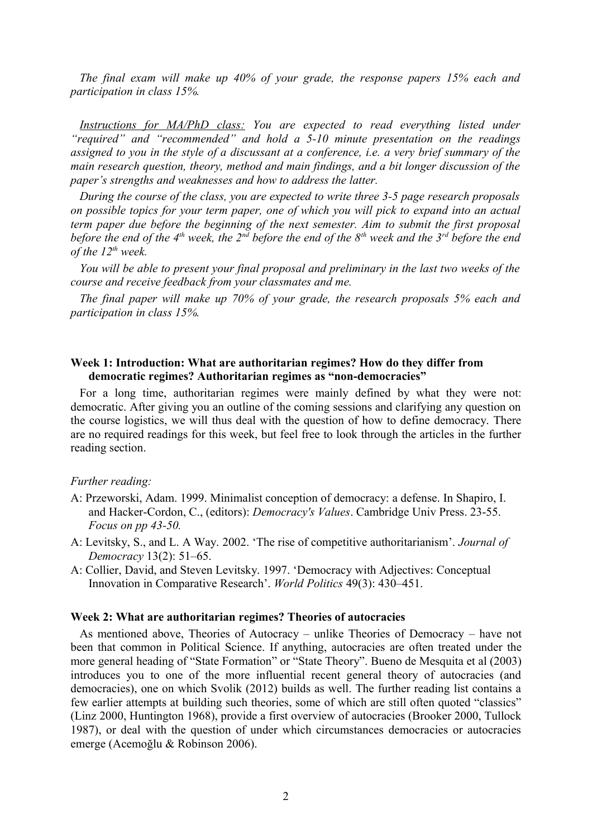*The final exam will make up 40% of your grade, the response papers 15% each and participation in class 15%.*

*Instructions for MA/PhD class: You are expected to read everything listed under "required" and "recommended" and hold a 5-10 minute presentation on the readings assigned to you in the style of a discussant at a conference, i.e. a very brief summary of the main research question, theory, method and main findings, and a bit longer discussion of the paper's strengths and weaknesses and how to address the latter.*

*During the course of the class, you are expected to write three 3-5 page research proposals on possible topics for your term paper, one of which you will pick to expand into an actual term paper due before the beginning of the next semester. Aim to submit the first proposal before the end of the 4th week, the 2nd before the end of the 8th week and the 3rd before the end of the 12th week.*

*You will be able to present your final proposal and preliminary in the last two weeks of the course and receive feedback from your classmates and me.*

*The final paper will make up 70% of your grade, the research proposals 5% each and participation in class 15%.*

## **Week 1: Introduction: What are authoritarian regimes? How do they differ from democratic regimes? Authoritarian regimes as "non-democracies"**

For a long time, authoritarian regimes were mainly defined by what they were not: democratic. After giving you an outline of the coming sessions and clarifying any question on the course logistics, we will thus deal with the question of how to define democracy. There are no required readings for this week, but feel free to look through the articles in the further reading section.

#### *Further reading:*

- A: Przeworski, Adam. 1999. Minimalist conception of democracy: a defense. In Shapiro, I. and Hacker-Cordon, C., (editors): *Democracy's Values*. Cambridge Univ Press. 23-55. *Focus on pp 43-50.*
- A: Levitsky, S., and L. A Way. 2002. 'The rise of competitive authoritarianism'. *Journal of Democracy* 13(2): 51–65.
- A: Collier, David, and Steven Levitsky. 1997. 'Democracy with Adjectives: Conceptual Innovation in Comparative Research'. *World Politics* 49(3): 430–451.

#### **Week 2: What are authoritarian regimes? Theories of autocracies**

As mentioned above, Theories of Autocracy – unlike Theories of Democracy – have not been that common in Political Science. If anything, autocracies are often treated under the more general heading of "State Formation" or "State Theory". Bueno de Mesquita et al (2003) introduces you to one of the more influential recent general theory of autocracies (and democracies), one on which Svolik (2012) builds as well. The further reading list contains a few earlier attempts at building such theories, some of which are still often quoted "classics" (Linz 2000, Huntington 1968), provide a first overview of autocracies (Brooker 2000, Tullock 1987), or deal with the question of under which circumstances democracies or autocracies emerge (Acemoğlu & Robinson 2006).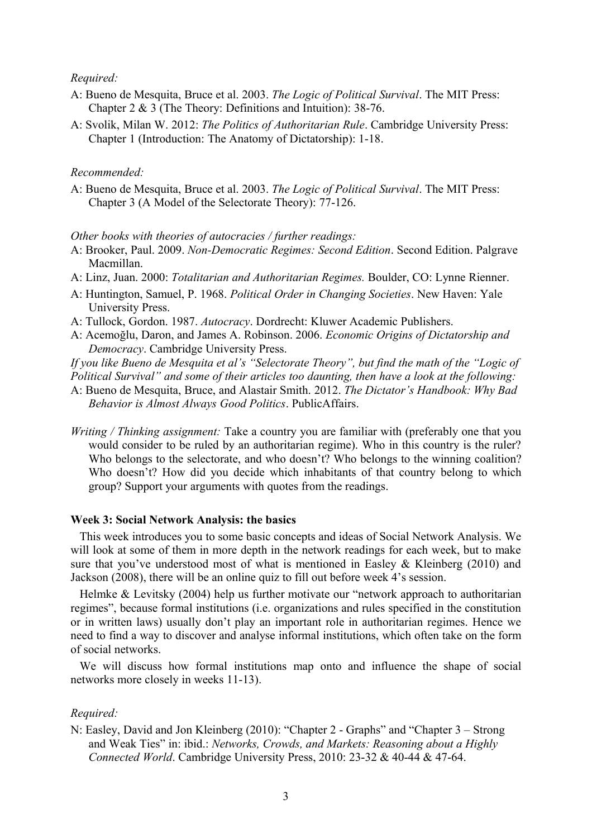#### *Required:*

- A: Bueno de Mesquita, Bruce et al. 2003. *The Logic of Political Survival*. The MIT Press: Chapter 2 & 3 (The Theory: Definitions and Intuition): 38-76.
- A: Svolik, Milan W. 2012: *The Politics of Authoritarian Rule*. Cambridge University Press: Chapter 1 (Introduction: The Anatomy of Dictatorship): 1-18.

#### *Recommended:*

A: Bueno de Mesquita, Bruce et al. 2003. *The Logic of Political Survival*. The MIT Press: Chapter 3 (A Model of the Selectorate Theory): 77-126.

#### *Other books with theories of autocracies / further readings:*

- A: Brooker, Paul. 2009. *Non-Democratic Regimes: Second Edition*. Second Edition. Palgrave Macmillan.
- A: Linz, Juan. 2000: *Totalitarian and Authoritarian Regimes.* Boulder, CO: Lynne Rienner.
- A: Huntington, Samuel, P. 1968. *Political Order in Changing Societies*. New Haven: Yale University Press.
- A: Tullock, Gordon. 1987. *Autocracy*. Dordrecht: Kluwer Academic Publishers.
- A: Acemoğlu, Daron, and James A. Robinson. 2006. *Economic Origins of Dictatorship and Democracy*. Cambridge University Press.

*If you like Bueno de Mesquita et al's "Selectorate Theory", but find the math of the "Logic of Political Survival" and some of their articles too daunting, then have a look at the following:* 

- A: Bueno de Mesquita, Bruce, and Alastair Smith. 2012. *The Dictator's Handbook: Why Bad Behavior is Almost Always Good Politics*. PublicAffairs.
- *Writing / Thinking assignment:* Take a country you are familiar with (preferably one that you would consider to be ruled by an authoritarian regime). Who in this country is the ruler? Who belongs to the selectorate, and who doesn't? Who belongs to the winning coalition? Who doesn't? How did you decide which inhabitants of that country belong to which group? Support your arguments with quotes from the readings.

#### **Week 3: Social Network Analysis: the basics**

This week introduces you to some basic concepts and ideas of Social Network Analysis. We will look at some of them in more depth in the network readings for each week, but to make sure that you've understood most of what is mentioned in Easley & Kleinberg (2010) and Jackson (2008), there will be an online quiz to fill out before week 4's session.

Helmke & Levitsky (2004) help us further motivate our "network approach to authoritarian regimes", because formal institutions (i.e. organizations and rules specified in the constitution or in written laws) usually don't play an important role in authoritarian regimes. Hence we need to find a way to discover and analyse informal institutions, which often take on the form of social networks.

We will discuss how formal institutions map onto and influence the shape of social networks more closely in weeks 11-13).

#### *Required:*

N: Easley, David and Jon Kleinberg (2010): "Chapter 2 - Graphs" and "Chapter 3 – Strong and Weak Ties" in: ibid.: *Networks, Crowds, and Markets: Reasoning about a Highly Connected World*. Cambridge University Press, 2010: 23-32 & 40-44 & 47-64.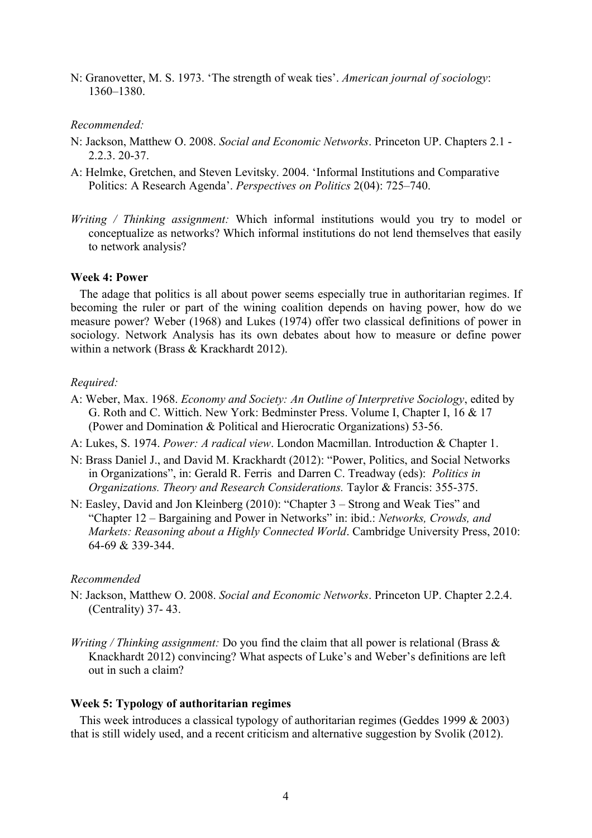N: Granovetter, M. S. 1973. 'The strength of weak ties'. *American journal of sociology*: 1360–1380.

#### *Recommended:*

- N: Jackson, Matthew O. 2008. *Social and Economic Networks*. Princeton UP. Chapters 2.1 2.2.3. 20-37.
- A: Helmke, Gretchen, and Steven Levitsky. 2004. 'Informal Institutions and Comparative Politics: A Research Agenda'. *Perspectives on Politics* 2(04): 725–740.
- *Writing / Thinking assignment:* Which informal institutions would you try to model or conceptualize as networks? Which informal institutions do not lend themselves that easily to network analysis?

### **Week 4: Power**

The adage that politics is all about power seems especially true in authoritarian regimes. If becoming the ruler or part of the wining coalition depends on having power, how do we measure power? Weber (1968) and Lukes (1974) offer two classical definitions of power in sociology. Network Analysis has its own debates about how to measure or define power within a network (Brass & Krackhardt 2012).

#### *Required:*

- A: Weber, Max. 1968. *Economy and Society: An Outline of Interpretive Sociology*, edited by G. Roth and C. Wittich. New York: Bedminster Press. Volume I, Chapter I, 16 & 17 (Power and Domination & Political and Hierocratic Organizations) 53-56.
- A: Lukes, S. 1974. *Power: A radical view*. London Macmillan. Introduction & Chapter 1.
- N: Brass Daniel J., and David M. Krackhardt (2012): "Power, Politics, and Social Networks in Organizations", in: Gerald R. Ferris and Darren C. Treadway (eds): *Politics in Organizations. Theory and Research Considerations.* Taylor & Francis: 355-375.
- N: Easley, David and Jon Kleinberg (2010): "Chapter 3 Strong and Weak Ties" and "Chapter 12 – Bargaining and Power in Networks" in: ibid.: *Networks, Crowds, and Markets: Reasoning about a Highly Connected World*. Cambridge University Press, 2010: 64-69 & 339-344.

#### *Recommended*

- N: Jackson, Matthew O. 2008. *Social and Economic Networks*. Princeton UP. Chapter 2.2.4. (Centrality) 37- 43.
- *Writing / Thinking assignment:* Do you find the claim that all power is relational (Brass & Knackhardt 2012) convincing? What aspects of Luke's and Weber's definitions are left out in such a claim?

#### **Week 5: Typology of authoritarian regimes**

This week introduces a classical typology of authoritarian regimes (Geddes 1999 & 2003) that is still widely used, and a recent criticism and alternative suggestion by Svolik (2012).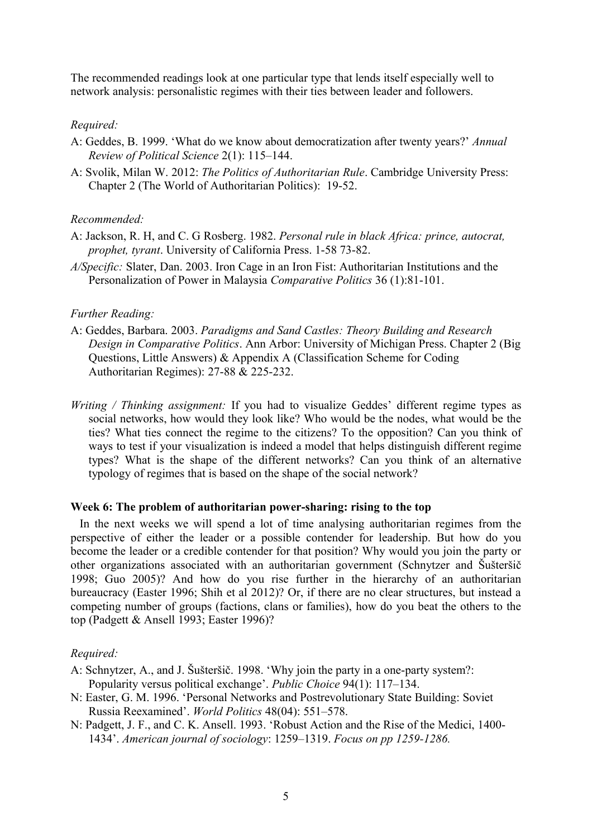The recommended readings look at one particular type that lends itself especially well to network analysis: personalistic regimes with their ties between leader and followers.

### *Required:*

- A: Geddes, B. 1999. 'What do we know about democratization after twenty years?' *Annual Review of Political Science* 2(1): 115–144.
- A: Svolik, Milan W. 2012: *The Politics of Authoritarian Rule*. Cambridge University Press: Chapter 2 (The World of Authoritarian Politics): 19-52.

## *Recommended:*

- A: Jackson, R. H, and C. G Rosberg. 1982. *Personal rule in black Africa: prince, autocrat, prophet, tyrant*. University of California Press. 1-58 73-82.
- *A/Specific:* Slater, Dan. 2003. Iron Cage in an Iron Fist: Authoritarian Institutions and the Personalization of Power in Malaysia *Comparative Politics* 36 (1):81-101.

### *Further Reading:*

- A: Geddes, Barbara. 2003. *Paradigms and Sand Castles: Theory Building and Research Design in Comparative Politics*. Ann Arbor: University of Michigan Press. Chapter 2 (Big Questions, Little Answers) & Appendix A (Classification Scheme for Coding Authoritarian Regimes): 27-88 & 225-232.
- *Writing / Thinking assignment:* If you had to visualize Geddes' different regime types as social networks, how would they look like? Who would be the nodes, what would be the ties? What ties connect the regime to the citizens? To the opposition? Can you think of ways to test if your visualization is indeed a model that helps distinguish different regime types? What is the shape of the different networks? Can you think of an alternative typology of regimes that is based on the shape of the social network?

## **Week 6: The problem of authoritarian power-sharing: rising to the top**

In the next weeks we will spend a lot of time analysing authoritarian regimes from the perspective of either the leader or a possible contender for leadership. But how do you become the leader or a credible contender for that position? Why would you join the party or other organizations associated with an authoritarian government (Schnytzer and Šušteršič 1998; Guo 2005)? And how do you rise further in the hierarchy of an authoritarian bureaucracy (Easter 1996; Shih et al 2012)? Or, if there are no clear structures, but instead a competing number of groups (factions, clans or families), how do you beat the others to the top (Padgett & Ansell 1993; Easter 1996)?

# *Required:*

- A: Schnytzer, A., and J. Šušteršič. 1998. 'Why join the party in a one-party system?: Popularity versus political exchange'. *Public Choice* 94(1): 117–134.
- N: Easter, G. M. 1996. 'Personal Networks and Postrevolutionary State Building: Soviet Russia Reexamined'. *World Politics* 48(04): 551–578.
- N: Padgett, J. F., and C. K. Ansell. 1993. 'Robust Action and the Rise of the Medici, 1400- 1434'. *American journal of sociology*: 1259–1319. *Focus on pp 1259-1286.*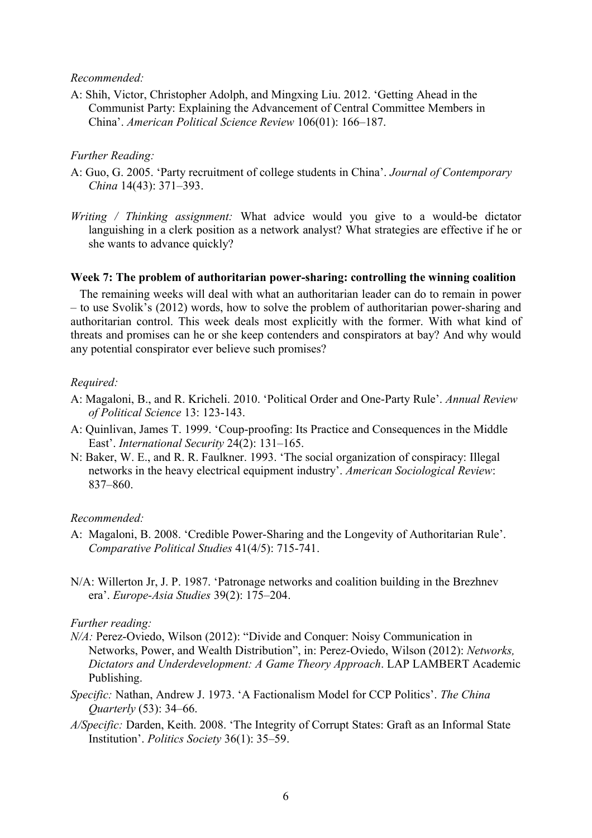#### *Recommended:*

A: Shih, Victor, Christopher Adolph, and Mingxing Liu. 2012. 'Getting Ahead in the Communist Party: Explaining the Advancement of Central Committee Members in China'. *American Political Science Review* 106(01): 166–187.

## *Further Reading:*

- A: Guo, G. 2005. 'Party recruitment of college students in China'. *Journal of Contemporary China* 14(43): 371–393.
- *Writing / Thinking assignment:* What advice would you give to a would-be dictator languishing in a clerk position as a network analyst? What strategies are effective if he or she wants to advance quickly?

### **Week 7: The problem of authoritarian power-sharing: controlling the winning coalition**

The remaining weeks will deal with what an authoritarian leader can do to remain in power – to use Svolik's (2012) words, how to solve the problem of authoritarian power-sharing and authoritarian control. This week deals most explicitly with the former. With what kind of threats and promises can he or she keep contenders and conspirators at bay? And why would any potential conspirator ever believe such promises?

### *Required:*

- A: Magaloni, B., and R. Kricheli. 2010. 'Political Order and One-Party Rule'. *Annual Review of Political Science* 13: 123-143.
- A: Quinlivan, James T. 1999. 'Coup-proofing: Its Practice and Consequences in the Middle East'. *International Security* 24(2): 131–165.
- N: Baker, W. E., and R. R. Faulkner. 1993. 'The social organization of conspiracy: Illegal networks in the heavy electrical equipment industry'. *American Sociological Review*: 837–860.

### *Recommended:*

- A: Magaloni, B. 2008. 'Credible Power-Sharing and the Longevity of Authoritarian Rule'. *Comparative Political Studies* 41(4/5): 715-741.
- N/A: Willerton Jr, J. P. 1987. 'Patronage networks and coalition building in the Brezhnev era'. *Europe-Asia Studies* 39(2): 175–204.

### *Further reading:*

- *N/A:* Perez-Oviedo, Wilson (2012): "Divide and Conquer: Noisy Communication in Networks, Power, and Wealth Distribution", in: Perez-Oviedo, Wilson (2012): *Networks, Dictators and Underdevelopment: A Game Theory Approach*. LAP LAMBERT Academic Publishing.
- *Specific:* Nathan, Andrew J. 1973. 'A Factionalism Model for CCP Politics'. *The China Quarterly* (53): 34–66.
- *A/Specific:* Darden, Keith. 2008. 'The Integrity of Corrupt States: Graft as an Informal State Institution'. *Politics Society* 36(1): 35–59.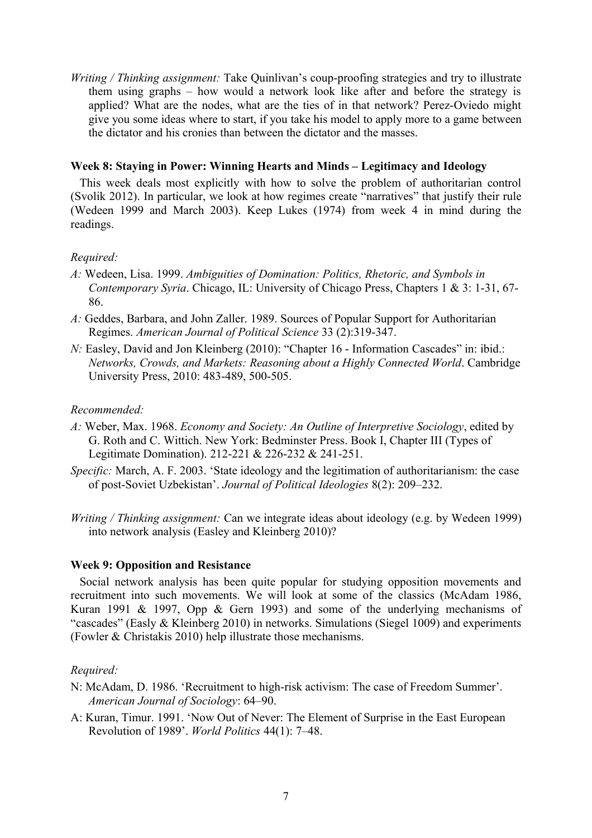*Writing / Thinking assignment:* Take Quinlivan's coup-proofing strategies and try to illustrate them using graphs – how would a network look like after and before the strategy is applied? What are the nodes, what are the ties of in that network? Perez-Oviedo might give you some ideas where to start, if you take his model to apply more to a game between the dictator and his cronies than between the dictator and the masses.

## **Week 8: Staying in Power: Winning Hearts and Minds – Legitimacy and Ideology**

This week deals most explicitly with how to solve the problem of authoritarian control (Svolik 2012). In particular, we look at how regimes create "narratives" that justify their rule (Wedeen 1999 and March 2003). Keep Lukes (1974) from week 4 in mind during the readings.

## *Required:*

- *A:* Wedeen, Lisa. 1999. *Ambiguities of Domination: Politics, Rhetoric, and Symbols in Contemporary Syria*. Chicago, IL: University of Chicago Press, Chapters 1 & 3: 1-31, 67- 86.
- *A:* Geddes, Barbara, and John Zaller. 1989. Sources of Popular Support for Authoritarian Regimes. *American Journal of Political Science* 33 (2):319-347.
- *N*: Easley, David and Jon Kleinberg (2010): "Chapter 16 Information Cascades" in: ibid.: *Networks, Crowds, and Markets: Reasoning about a Highly Connected World*. Cambridge University Press, 2010: 483-489, 500-505.

## *Recommended:*

- *A:* Weber, Max. 1968. *Economy and Society: An Outline of Interpretive Sociology*, edited by G. Roth and C. Wittich. New York: Bedminster Press. Book I, Chapter III (Types of Legitimate Domination). 212-221 & 226-232 & 241-251.
- *Specific:* March, A. F. 2003. 'State ideology and the legitimation of authoritarianism: the case of post-Soviet Uzbekistan'. *Journal of Political Ideologies* 8(2): 209–232.
- *Writing / Thinking assignment:* Can we integrate ideas about ideology (e.g. by Wedeen 1999) into network analysis (Easley and Kleinberg 2010)?

### **Week 9: Opposition and Resistance**

Social network analysis has been quite popular for studying opposition movements and recruitment into such movements. We will look at some of the classics (McAdam 1986, Kuran 1991 & 1997, Opp & Gern 1993) and some of the underlying mechanisms of "cascades" (Easly & Kleinberg 2010) in networks. Simulations (Siegel 1009) and experiments (Fowler & Christakis 2010) help illustrate those mechanisms.

### *Required:*

- N: McAdam, D. 1986. 'Recruitment to high-risk activism: The case of Freedom Summer'. *American Journal of Sociology*: 64–90.
- A: Kuran, Timur. 1991. 'Now Out of Never: The Element of Surprise in the East European Revolution of 1989'. *World Politics* 44(1): 7–48.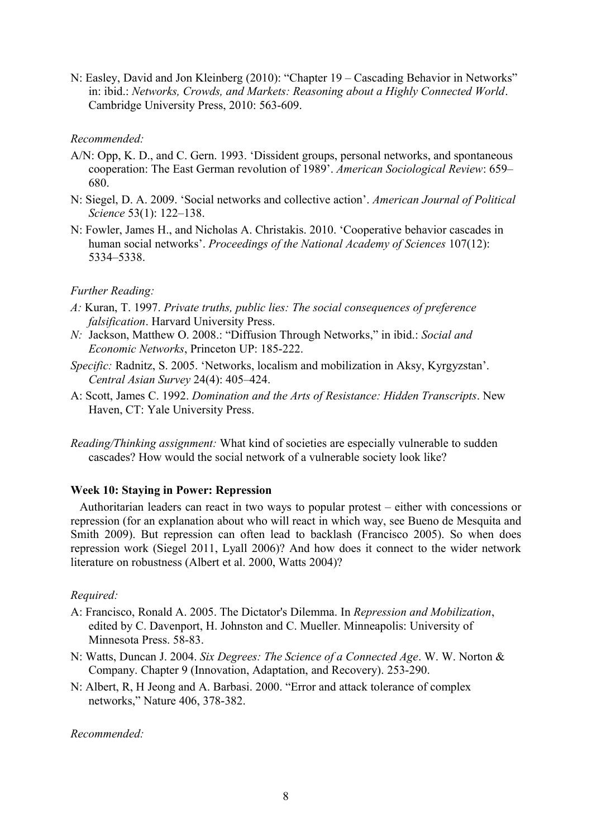N: Easley, David and Jon Kleinberg (2010): "Chapter 19 – Cascading Behavior in Networks" in: ibid.: *Networks, Crowds, and Markets: Reasoning about a Highly Connected World*. Cambridge University Press, 2010: 563-609.

## *Recommended:*

- A/N: Opp, K. D., and C. Gern. 1993. 'Dissident groups, personal networks, and spontaneous cooperation: The East German revolution of 1989'. *American Sociological Review*: 659– 680.
- N: Siegel, D. A. 2009. 'Social networks and collective action'. *American Journal of Political Science* 53(1): 122–138.
- N: Fowler, James H., and Nicholas A. Christakis. 2010. 'Cooperative behavior cascades in human social networks'. *Proceedings of the National Academy of Sciences* 107(12): 5334–5338.

# *Further Reading:*

- *A:* Kuran, T. 1997. *Private truths, public lies: The social consequences of preference falsification*. Harvard University Press.
- *N:* Jackson, Matthew O. 2008.: "Diffusion Through Networks," in ibid.: *Social and Economic Networks*, Princeton UP: 185-222.
- *Specific:* Radnitz, S. 2005. 'Networks, localism and mobilization in Aksy, Kyrgyzstan'. *Central Asian Survey* 24(4): 405–424.
- A: Scott, James C. 1992. *Domination and the Arts of Resistance: Hidden Transcripts*. New Haven, CT: Yale University Press.
- *Reading/Thinking assignment:* What kind of societies are especially vulnerable to sudden cascades? How would the social network of a vulnerable society look like?

# **Week 10: Staying in Power: Repression**

Authoritarian leaders can react in two ways to popular protest – either with concessions or repression (for an explanation about who will react in which way, see Bueno de Mesquita and Smith 2009). But repression can often lead to backlash (Francisco 2005). So when does repression work (Siegel 2011, Lyall 2006)? And how does it connect to the wider network literature on robustness (Albert et al. 2000, Watts 2004)?

### *Required:*

- A: Francisco, Ronald A. 2005. The Dictator's Dilemma. In *Repression and Mobilization*, edited by C. Davenport, H. Johnston and C. Mueller. Minneapolis: University of Minnesota Press. 58-83.
- N: Watts, Duncan J. 2004. *Six Degrees: The Science of a Connected Age*. W. W. Norton & Company. Chapter 9 (Innovation, Adaptation, and Recovery). 253-290.
- N: Albert, R, H Jeong and A. Barbasi. 2000. "Error and attack tolerance of complex networks," Nature 406, 378-382.

*Recommended:*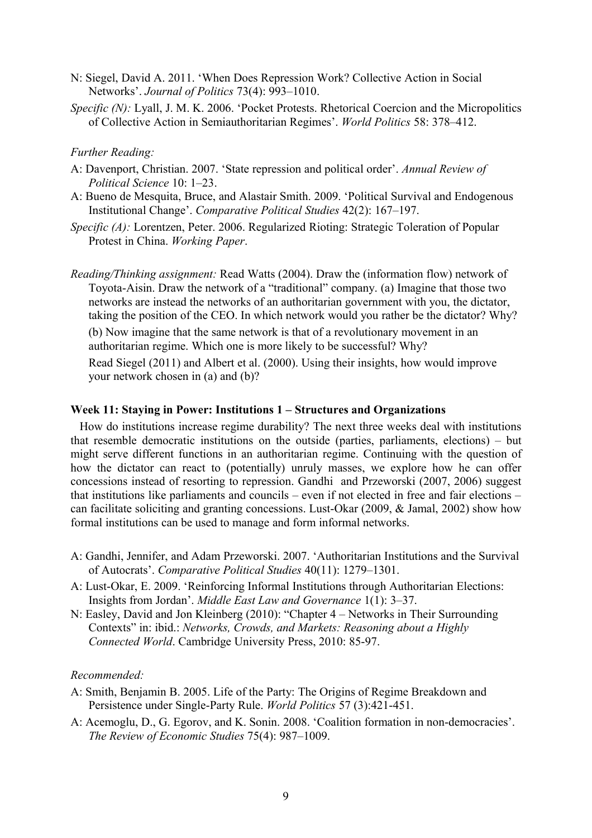- N: Siegel, David A. 2011. 'When Does Repression Work? Collective Action in Social Networks'. *Journal of Politics* 73(4): 993–1010.
- *Specific (N):* Lyall, J. M. K. 2006. 'Pocket Protests. Rhetorical Coercion and the Micropolitics of Collective Action in Semiauthoritarian Regimes'. *World Politics* 58: 378–412.

#### *Further Reading:*

- A: Davenport, Christian. 2007. 'State repression and political order'. *Annual Review of Political Science* 10: 1–23.
- A: Bueno de Mesquita, Bruce, and Alastair Smith. 2009. 'Political Survival and Endogenous Institutional Change'. *Comparative Political Studies* 42(2): 167–197.
- *Specific (A):* Lorentzen, Peter. 2006. Regularized Rioting: Strategic Toleration of Popular Protest in China. *Working Paper*.
- *Reading/Thinking assignment:* Read Watts (2004). Draw the (information flow) network of Toyota-Aisin. Draw the network of a "traditional" company. (a) Imagine that those two networks are instead the networks of an authoritarian government with you, the dictator, taking the position of the CEO. In which network would you rather be the dictator? Why? (b) Now imagine that the same network is that of a revolutionary movement in an authoritarian regime. Which one is more likely to be successful? Why? Read Siegel (2011) and Albert et al. (2000). Using their insights, how would improve your network chosen in (a) and (b)?

## **Week 11: Staying in Power: Institutions 1 – Structures and Organizations**

How do institutions increase regime durability? The next three weeks deal with institutions that resemble democratic institutions on the outside (parties, parliaments, elections) – but might serve different functions in an authoritarian regime. Continuing with the question of how the dictator can react to (potentially) unruly masses, we explore how he can offer concessions instead of resorting to repression. Gandhi and Przeworski (2007, 2006) suggest that institutions like parliaments and councils – even if not elected in free and fair elections – can facilitate soliciting and granting concessions. Lust-Okar (2009, & Jamal, 2002) show how formal institutions can be used to manage and form informal networks.

- A: Gandhi, Jennifer, and Adam Przeworski. 2007. 'Authoritarian Institutions and the Survival of Autocrats'. *Comparative Political Studies* 40(11): 1279–1301.
- A: Lust-Okar, E. 2009. 'Reinforcing Informal Institutions through Authoritarian Elections: Insights from Jordan'. *Middle East Law and Governance* 1(1): 3–37.
- N: Easley, David and Jon Kleinberg (2010): "Chapter 4 Networks in Their Surrounding Contexts" in: ibid.: *Networks, Crowds, and Markets: Reasoning about a Highly Connected World*. Cambridge University Press, 2010: 85-97.

#### *Recommended:*

- A: Smith, Benjamin B. 2005. Life of the Party: The Origins of Regime Breakdown and Persistence under Single-Party Rule. *World Politics* 57 (3):421-451.
- A: Acemoglu, D., G. Egorov, and K. Sonin. 2008. 'Coalition formation in non-democracies'. *The Review of Economic Studies* 75(4): 987–1009.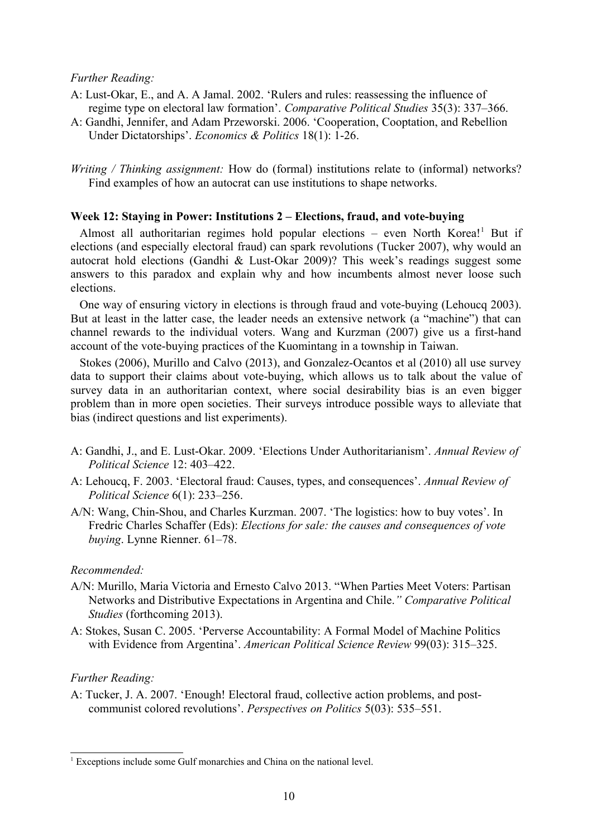#### *Further Reading:*

- A: Lust-Okar, E., and A. A Jamal. 2002. 'Rulers and rules: reassessing the influence of regime type on electoral law formation'. *Comparative Political Studies* 35(3): 337–366.
- A: Gandhi, Jennifer, and Adam Przeworski. 2006. 'Cooperation, Cooptation, and Rebellion Under Dictatorships'. *Economics & Politics* 18(1): 1-26.
- *Writing / Thinking assignment:* How do (formal) institutions relate to (informal) networks? Find examples of how an autocrat can use institutions to shape networks.

### **Week 12: Staying in Power: Institutions 2 – Elections, fraud, and vote-buying**

Almost all authoritarian regimes hold popular elections - even North Korea!<sup>[1](#page-9-0)</sup> But if elections (and especially electoral fraud) can spark revolutions (Tucker 2007), why would an autocrat hold elections (Gandhi & Lust-Okar 2009)? This week's readings suggest some answers to this paradox and explain why and how incumbents almost never loose such elections.

One way of ensuring victory in elections is through fraud and vote-buying (Lehoucq 2003). But at least in the latter case, the leader needs an extensive network (a "machine") that can channel rewards to the individual voters. Wang and Kurzman (2007) give us a first-hand account of the vote-buying practices of the Kuomintang in a township in Taiwan.

Stokes (2006), Murillo and Calvo (2013), and Gonzalez-Ocantos et al (2010) all use survey data to support their claims about vote-buying, which allows us to talk about the value of survey data in an authoritarian context, where social desirability bias is an even bigger problem than in more open societies. Their surveys introduce possible ways to alleviate that bias (indirect questions and list experiments).

- A: Gandhi, J., and E. Lust-Okar. 2009. 'Elections Under Authoritarianism'. *Annual Review of Political Science* 12: 403–422.
- A: Lehoucq, F. 2003. 'Electoral fraud: Causes, types, and consequences'. *Annual Review of Political Science* 6(1): 233–256.
- A/N: Wang, Chin-Shou, and Charles Kurzman. 2007. 'The logistics: how to buy votes'. In Fredric Charles Schaffer (Eds): *Elections for sale: the causes and consequences of vote buying*. Lynne Rienner. 61–78.

#### *Recommended:*

- A/N: Murillo, Maria Victoria and Ernesto Calvo 2013. "When Parties Meet Voters: Partisan Networks and Distributive Expectations in Argentina and Chile.*" Comparative Political Studies* (forthcoming 2013).
- A: Stokes, Susan C. 2005. 'Perverse Accountability: A Formal Model of Machine Politics with Evidence from Argentina'. *American Political Science Review* 99(03): 315–325.

#### *Further Reading:*

A: Tucker, J. A. 2007. 'Enough! Electoral fraud, collective action problems, and postcommunist colored revolutions'. *Perspectives on Politics* 5(03): 535–551.

<span id="page-9-0"></span><sup>&</sup>lt;sup>1</sup> Exceptions include some Gulf monarchies and China on the national level.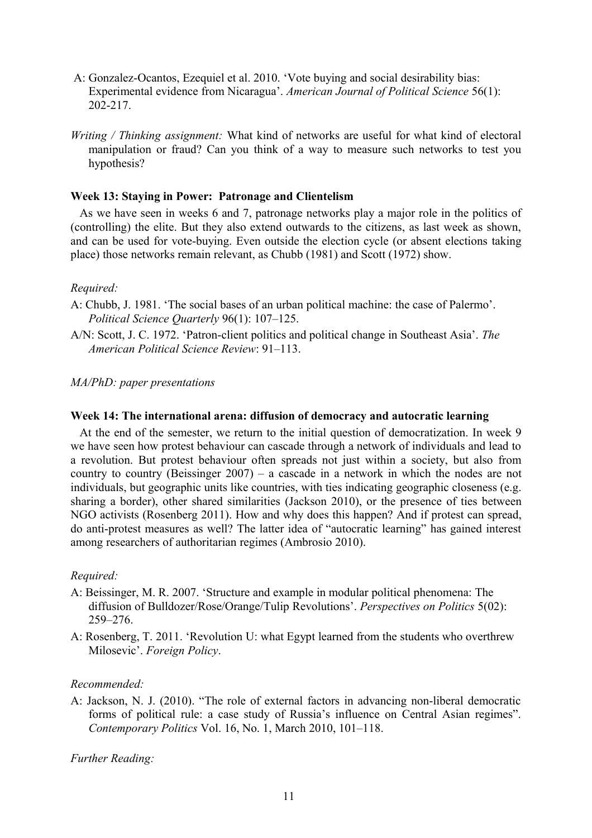- A: Gonzalez-Ocantos, Ezequiel et al. 2010. 'Vote buying and social desirability bias: Experimental evidence from Nicaragua'. *American Journal of Political Science* 56(1): 202-217.
- *Writing / Thinking assignment:* What kind of networks are useful for what kind of electoral manipulation or fraud? Can you think of a way to measure such networks to test you hypothesis?

## **Week 13: Staying in Power: Patronage and Clientelism**

As we have seen in weeks 6 and 7, patronage networks play a major role in the politics of (controlling) the elite. But they also extend outwards to the citizens, as last week as shown, and can be used for vote-buying. Even outside the election cycle (or absent elections taking place) those networks remain relevant, as Chubb (1981) and Scott (1972) show.

# *Required:*

- A: Chubb, J. 1981. 'The social bases of an urban political machine: the case of Palermo'. *Political Science Quarterly* 96(1): 107–125.
- A/N: Scott, J. C. 1972. 'Patron-client politics and political change in Southeast Asia'. *The American Political Science Review*: 91–113.

*MA/PhD: paper presentations*

## **Week 14: The international arena: diffusion of democracy and autocratic learning**

At the end of the semester, we return to the initial question of democratization. In week 9 we have seen how protest behaviour can cascade through a network of individuals and lead to a revolution. But protest behaviour often spreads not just within a society, but also from country to country (Beissinger 2007) – a cascade in a network in which the nodes are not individuals, but geographic units like countries, with ties indicating geographic closeness (e.g. sharing a border), other shared similarities (Jackson 2010), or the presence of ties between NGO activists (Rosenberg 2011). How and why does this happen? And if protest can spread, do anti-protest measures as well? The latter idea of "autocratic learning" has gained interest among researchers of authoritarian regimes (Ambrosio 2010).

# *Required:*

- A: Beissinger, M. R. 2007. 'Structure and example in modular political phenomena: The diffusion of Bulldozer/Rose/Orange/Tulip Revolutions'. *Perspectives on Politics* 5(02): 259–276.
- A: Rosenberg, T. 2011. 'Revolution U: what Egypt learned from the students who overthrew Milosevic'. *Foreign Policy*.

# *Recommended:*

A: Jackson, N. J. (2010). "The role of external factors in advancing non-liberal democratic forms of political rule: a case study of Russia's influence on Central Asian regimes". *Contemporary Politics* Vol. 16, No. 1, March 2010, 101–118.

*Further Reading:*